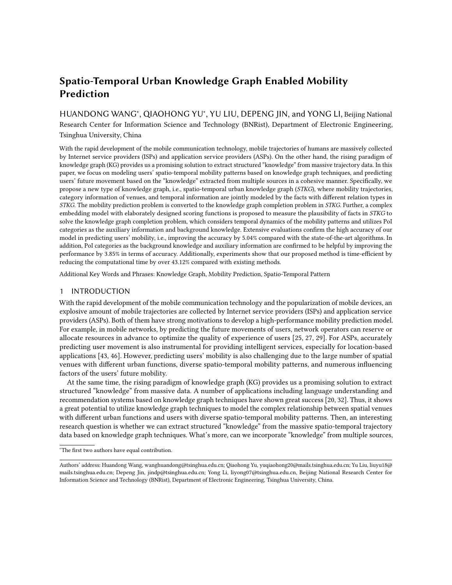HUANDONG WANG<sup>\*</sup>, QIAOHONG YU<sup>\*</sup>, YU LIU, DEPENG JIN, and YONG LI, Beijing National Research Center for Information Science and Technology (BNRist), Department of Electronic Engineering, Tsinghua University, China

With the rapid development of the mobile communication technology, mobile trajectories of humans are massively collected by Internet service providers (ISPs) and application service providers (ASPs). On the other hand, the rising paradigm of knowledge graph (KG) provides us a promising solution to extract structured "knowledge" from massive trajectory data. In this paper, we focus on modeling users' spatio-temporal mobility patterns based on knowledge graph techniques, and predicting users' future movement based on the "knowledge" extracted from multiple sources in a cohesive manner. Specifically, we propose a new type of knowledge graph, i.e., spatio-temporal urban knowledge graph (STKG), where mobility trajectories, category information of venues, and temporal information are jointly modeled by the facts with different relation types in STKG. The mobility prediction problem is converted to the knowledge graph completion problem in STKG. Further, a complex embedding model with elaborately designed scoring functions is proposed to measure the plausibility of facts in STKG to solve the knowledge graph completion problem, which considers temporal dynamics of the mobility patterns and utilizes PoI categories as the auxiliary information and background knowledge. Extensive evaluations confirm the high accuracy of our model in predicting users' mobility, i.e., improving the accuracy by 5.04% compared with the state-of-the-art algorithms. In addition, PoI categories as the background knowledge and auxiliary information are confirmed to be helpful by improving the performance by 3.85% in terms of accuracy. Additionally, experiments show that our proposed method is time-efficient by reducing the computational time by over 43.12% compared with existing methods.

Additional Key Words and Phrases: Knowledge Graph, Mobility Prediction, Spatio-Temporal Pattern

## 1 INTRODUCTION

With the rapid development of the mobile communication technology and the popularization of mobile devices, an explosive amount of mobile trajectories are collected by Internet service providers (ISPs) and application service providers (ASPs). Both of them have strong motivations to develop a high-performance mobility prediction model. For example, in mobile networks, by predicting the future movements of users, network operators can reserve or allocate resources in advance to optimize the quality of experience of users [\[25,](#page-21-0) [27,](#page-21-1) [29\]](#page-21-2). For ASPs, accurately predicting user movement is also instrumental for providing intelligent services, especially for location-based applications [\[43,](#page-22-0) [46\]](#page-22-1). However, predicting users' mobility is also challenging due to the large number of spatial venues with different urban functions, diverse spatio-temporal mobility patterns, and numerous influencing factors of the users' future mobility.

At the same time, the rising paradigm of knowledge graph (KG) provides us a promising solution to extract structured "knowledge" from massive data. A number of applications including language understanding and recommendation systems based on knowledge graph techniques have shown great success [\[20,](#page-21-3) [32\]](#page-22-2). Thus, it shows a great potential to utilize knowledge graph techniques to model the complex relationship between spatial venues with different urban functions and users with diverse spatio-temporal mobility patterns. Then, an interesting research question is whether we can extract structured "knowledge" from the massive spatio-temporal trajectory data based on knowledge graph techniques. What's more, can we incorporate "knowledge" from multiple sources,

<sup>∗</sup>The first two authors have equal contribution.

Authors' address: Huandong Wang, wanghuandong@tsinghua.edu.cn; Qiaohong Yu, yuqiaohong20@mails.tsinghua.edu.cn; Yu Liu, liuyu18@ mails.tsinghua.edu.cn; Depeng Jin, jindp@tsinghua.edu.cn; Yong Li, liyong07@tsinghua.edu.cn, Beijing National Research Center for Information Science and Technology (BNRist), Department of Electronic Engineering, Tsinghua University, China.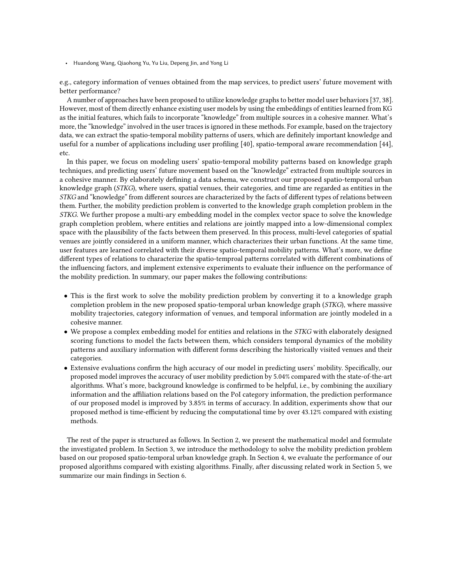e.g., category information of venues obtained from the map services, to predict users' future movement with better performance?

A number of approaches have been proposed to utilize knowledge graphs to better model user behaviors [\[37,](#page-22-3) [38\]](#page-22-4). However, most of them directly enhance existing user models by using the embeddings of entities learned from KG as the initial features, which fails to incorporate "knowledge" from multiple sources in a cohesive manner. What's more, the "knowledge" involved in the user traces is ignored in these methods. For example, based on the trajectory data, we can extract the spatio-temporal mobility patterns of users, which are definitely important knowledge and useful for a number of applications including user profiling [\[40\]](#page-22-5), spatio-temporal aware recommendation [\[44\]](#page-22-6), etc.

In this paper, we focus on modeling users' spatio-temporal mobility patterns based on knowledge graph techniques, and predicting users' future movement based on the "knowledge" extracted from multiple sources in a cohesive manner. By elaborately defining a data schema, we construct our proposed spatio-temporal urban knowledge graph (STKG), where users, spatial venues, their categories, and time are regarded as entities in the STKG and "knowledge" from different sources are characterized by the facts of different types of relations between them. Further, the mobility prediction problem is converted to the knowledge graph completion problem in the STKG. We further propose a multi-ary embedding model in the complex vector space to solve the knowledge graph completion problem, where entities and relations are jointly mapped into a low-dimensional complex space with the plausibility of the facts between them preserved. In this process, multi-level categories of spatial venues are jointly considered in a uniform manner, which characterizes their urban functions. At the same time, user features are learned correlated with their diverse spatio-temporal mobility patterns. What's more, we define different types of relations to characterize the spatio-temproal patterns correlated with different combinations of the influencing factors, and implement extensive experiments to evaluate their influence on the performance of the mobility prediction. In summary, our paper makes the following contributions:

- This is the first work to solve the mobility prediction problem by converting it to a knowledge graph completion problem in the new proposed spatio-temporal urban knowledge graph (STKG), where massive mobility trajectories, category information of venues, and temporal information are jointly modeled in a cohesive manner.
- We propose a complex embedding model for entities and relations in the STKG with elaborately designed scoring functions to model the facts between them, which considers temporal dynamics of the mobility patterns and auxiliary information with different forms describing the historically visited venues and their categories.
- Extensive evaluations confirm the high accuracy of our model in predicting users' mobility. Specifically, our proposed model improves the accuracy of user mobility prediction by 5.04% compared with the state-of-the-art algorithms. What's more, background knowledge is confirmed to be helpful, i.e., by combining the auxiliary information and the affiliation relations based on the PoI category information, the prediction performance of our proposed model is improved by 3.85% in terms of accuracy. In addition, experiments show that our proposed method is time-efficient by reducing the computational time by over 43.12% compared with existing methods.

The rest of the paper is structured as follows. In Section [2,](#page-2-0) we present the mathematical model and formulate the investigated problem. In Section [3,](#page-3-0) we introduce the methodology to solve the mobility prediction problem based on our proposed spatio-temporal urban knowledge graph. In Section [4,](#page-8-0) we evaluate the performance of our proposed algorithms compared with existing algorithms. Finally, after discussing related work in Section [5,](#page-17-0) we summarize our main findings in Section [6.](#page-20-0)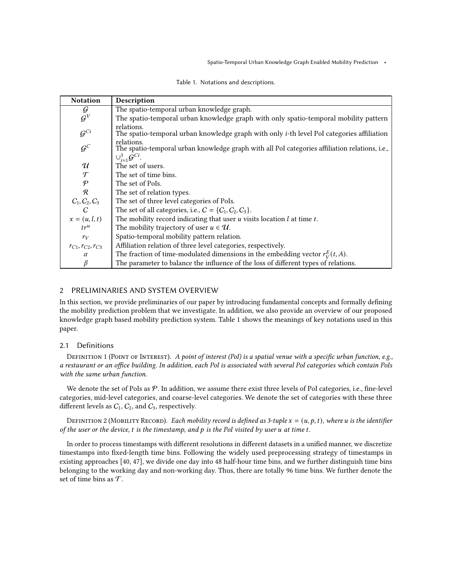<span id="page-2-1"></span>

| <b>Notation</b>             | Description                                                                                                     |
|-----------------------------|-----------------------------------------------------------------------------------------------------------------|
| G                           | The spatio-temporal urban knowledge graph.                                                                      |
| $\mathcal{G}^V$             | The spatio-temporal urban knowledge graph with only spatio-temporal mobility pattern                            |
| $\mathcal{G}^{Ci}$          | relations.<br>The spatio-temporal urban knowledge graph with only <i>i</i> -th level PoI categories affiliation |
| $\mathcal{G}^{\mathcal{C}}$ | relations.<br>The spatio-temporal urban knowledge graph with all PoI categories affiliation relations, i.e.,    |
|                             | $\cup_{i=1}^3 \mathcal{G}^{Ci}$ .                                                                               |
| $\mathcal{U}$               | The set of users.                                                                                               |
| $\mathcal T$                | The set of time bins.                                                                                           |
| $\mathcal P$                | The set of PoIs.                                                                                                |
| $\mathcal{R}$               | The set of relation types.                                                                                      |
| $C_1, C_2, C_3$             | The set of three level categories of PoIs.                                                                      |
| $\mathcal{C}$               | The set of all categories, i.e., $C = \{C_1, C_2, C_3\}.$                                                       |
| $x=(u, l, t)$               | The mobility record indicating that user $u$ visits location $l$ at time $t$ .                                  |
| tr <sup>u</sup>             | The mobility trajectory of user $u \in \mathcal{U}$ .                                                           |
| $r_V$                       | Spatio-temporal mobility pattern relation.                                                                      |
| $r_{C1}, r_{C2}, r_{C3}$    | Affiliation relation of three level categories, respectively.                                                   |
| $\alpha$                    | The fraction of time-modulated dimensions in the embedding vector $r_V^E(t, A)$ .                               |
| $\beta$                     | The parameter to balance the influence of the loss of different types of relations.                             |

Table 1. Notations and descriptions.

# <span id="page-2-0"></span>2 PRELIMINARIES AND SYSTEM OVERVIEW

In this section, we provide preliminaries of our paper by introducing fundamental concepts and formally defining the mobility prediction problem that we investigate. In addition, we also provide an overview of our proposed knowledge graph based mobility prediction system. Table [1](#page-2-1) shows the meanings of key notations used in this paper.

# 2.1 Definitions

DEFINITION 1 (POINT OF INTEREST). A point of interest (PoI) is a spatial venue with a specific urban function, e.g., a restaurant or an office building. In addition, each PoI is associated with several PoI categories which contain PoIs with the same urban function.

We denote the set of PoIs as  $P$ . In addition, we assume there exist three levels of PoI categories, i.e., fine-level categories, mid-level categories, and coarse-level categories. We denote the set of categories with these three different levels as  $C_1$ ,  $C_2$ , and  $C_3$ , respectively.

DEFINITION 2 (MOBILITY RECORD). Each mobility record is defined as 3-tuple  $x = (u, p, t)$ , where u is the identifier of the user or the device,  $t$  is the timestamp, and  $p$  is the PoI visited by user  $u$  at time  $t$ .

In order to process timestamps with different resolutions in different datasets in a unified manner, we discretize timestamps into fixed-length time bins. Following the widely used preprocessing strategy of timestamps in existing approaches [\[40,](#page-22-5) [47\]](#page-22-7), we divide one day into 48 half-hour time bins, and we further distinguish time bins belonging to the working day and non-working day. Thus, there are totally 96 time bins. We further denote the set of time bins as  $\mathcal T$ .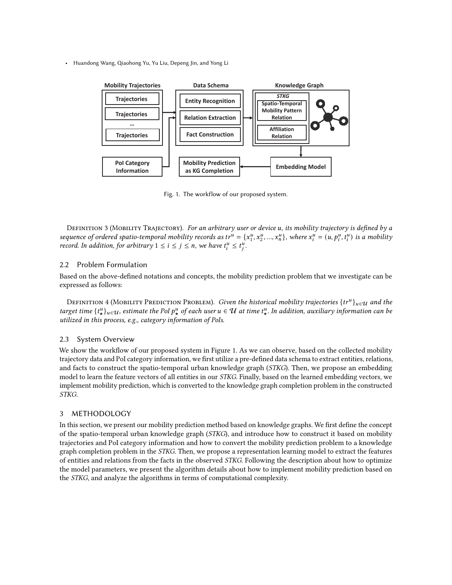<span id="page-3-1"></span>

Fig. 1. The workflow of our proposed system.

DEFINITION 3 (MOBILITY TRAJECTORY). For an arbitrary user or device u, its mobility trajectory is defined by a sequence of ordered spatio-temporal mobility records as tr<sup>u</sup> = { $x_1^u, x_2^u, ..., x_n^u$ }, where  $x_i^u = (u, p_i^u, t_i^u)$  is a mobility record. In addition, for arbitrary  $1 \le i \le j \le n$ , we have  $t_i^u \le t_i^u$ .

# 2.2 Problem Formulation

Based on the above-defined notations and concepts, the mobility prediction problem that we investigate can be expressed as follows:

DEFINITION 4 (MOBILITY PREDICTION PROBLEM). *Given the historical mobility trajectories*  $\{tr^u\}_{u\in\mathcal{U}}$  and the target time  $\{t^u_\star\}_{u\in\mathcal{U}}$ , estimate the PoI  $p^u_\star$  of each user  $u\in\mathcal{U}$  at time  $t^u_\star$ . In addition, auxiliary information can be utilized in this process, e.g., category information of PoIs.

## 2.3 System Overview

We show the workflow of our proposed system in Figure [1.](#page-3-1) As we can observe, based on the collected mobility trajectory data and PoI category information, we first utilize a pre-defined data schema to extract entities, relations, and facts to construct the spatio-temporal urban knowledge graph (STKG). Then, we propose an embedding model to learn the feature vectors of all entities in our STKG. Finally, based on the learned embedding vectors, we implement mobility prediction, which is converted to the knowledge graph completion problem in the constructed STKG.

# <span id="page-3-0"></span>3 METHODOLOGY

In this section, we present our mobility prediction method based on knowledge graphs. We first define the concept of the spatio-temporal urban knowledge graph (STKG), and introduce how to construct it based on mobility trajectories and PoI category information and how to convert the mobility prediction problem to a knowledge graph completion problem in the STKG. Then, we propose a representation learning model to extract the features of entities and relations from the facts in the observed STKG. Following the description about how to optimize the model parameters, we present the algorithm details about how to implement mobility prediction based on the STKG, and analyze the algorithms in terms of computational complexity.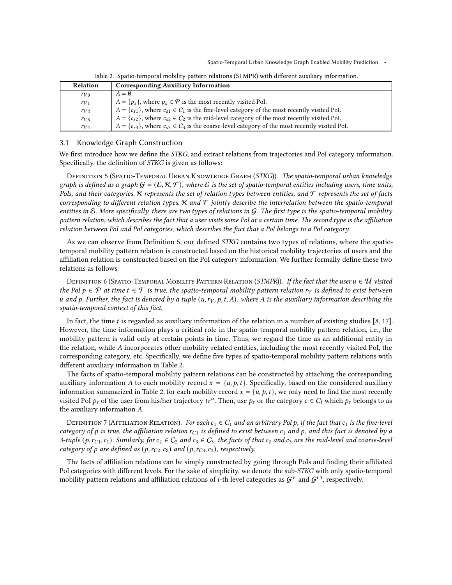<span id="page-4-1"></span>

| <b>Relation</b> | <b>Corresponding Auxiliary Information</b>                                                                 |
|-----------------|------------------------------------------------------------------------------------------------------------|
| $r_{V0}$        | $A = \emptyset$ .                                                                                          |
| $r_{V1}$        | $A = \{p_s\}$ , where $p_s \in \mathcal{P}$ is the most recently visited PoI.                              |
| $r_{V2}$        | $A = \{c_{s1}\}\,$ , where $c_{s1} \in C_1$ is the fine-level category of the most recently visited PoI.   |
| $r_{V3}$        | $A = \{c_{s2}\}\,$ , where $c_{s2} \in C_2$ is the mid-level category of the most recently visited PoI.    |
| $r_{V4}$        | $A = \{c_{s3}\}\,$ , where $c_{s3} \in C_3$ is the coarse-level category of the most recently visited PoI. |

Table 2. Spatio-temporal mobility pattern relations (STMPR) with different auxiliary information.

#### 3.1 Knowledge Graph Construction

We first introduce how we define the STKG, and extract relations from trajectories and PoI category information. Specifically, the definition of STKG is given as follows:

<span id="page-4-0"></span>DEFINITION 5 (SPATIO-TEMPORAL URBAN KNOWLEDGE GRAPH (STKG)). The spatio-temporal urban knowledge graph is defined as a graph  $G = (\mathcal{E}, \mathcal{R}, \mathcal{F})$ , where  $\mathcal{E}$  is the set of spatio-temporal entities including users, time units, PoIs, and their categories. R represents the set of relation types between entities, and  $\mathcal F$  represents the set of facts corresponding to different relation types. R and  $\mathcal F$  jointly describe the interrelation between the spatio-temporal entities in  $\mathcal E$ . More specifically, there are two types of relations in  $\mathcal G$ . The first type is the spatio-temporal mobility pattern relation, which describes the fact that a user visits some PoI at a certain time. The second type is the affiliation relation between PoI and PoI categories, which describes the fact that a PoI belongs to a PoI category.

As we can observe from Definition [5,](#page-4-0) our defined STKG contains two types of relations, where the spatiotemporal mobility pattern relation is constructed based on the historical mobility trajectories of users and the affiliation relation is constructed based on the PoI category information. We further formally define these two relations as follows:

DEFINITION 6 (SPATIO-TEMPORAL MOBILITY PATTERN RELATION (STMPR)). If the fact that the user  $u \in U$  visited the PoI  $p \in \mathcal{P}$  at time  $t \in \mathcal{T}$  is true, the spatio-temporal mobility pattern relation  $r_V$  is defined to exist between u and p. Further, the fact is denoted by a tuple  $(u, r_V, p, t, A)$ , where A is the auxiliary information describing the spatio-temporal context of this fact.

In fact, the time  $t$  is regarded as auxiliary information of the relation in a number of existing studies [\[8,](#page-21-4) [17\]](#page-21-5). However, the time information plays a critical role in the spatio-temporal mobility pattern relation, i.e., the mobility pattern is valid only at certain points in time. Thus, we regard the time as an additional entity in the relation, while A incorporates other mobility-related entities, including the most recently visited PoI, the corresponding category, etc. Specifically, we define five types of spatio-temporal mobility pattern relations with different auxiliary information in Table [2.](#page-4-1)

The facts of spatio-temporal mobility pattern relations can be constructed by attaching the corresponding auxiliary information A to each mobility record  $x = \{u, p, t\}$ . Specifically, based on the considered auxiliary information summarized in Table [2,](#page-4-1) for each mobility record  $x = \{u, p, t\}$ , we only need to find the most recently visited PoI  $p_s$  of the user from his/her trajectory  $tr^u$ . Then, use  $p_s$  or the category  $c \in C_i$  which  $p_s$  belongs to as the auxiliary information  $A$ .

DEFINITION 7 (AFFILIATION RELATION). For each  $c_1 \in C_1$  and an arbitrary PoI p, if the fact that  $c_1$  is the fine-level category of p is true, the affiliation relation  $r_{C_1}$  is defined to exist between  $c_1$  and p, and this fact is denoted by a 3-tuple (p,  $r_{C_1}, r_1$ ). Similarly, for  $c_2 \in C_2$  and  $c_3 \in C_3$ , the facts of that  $c_2$  and  $c_3$  are the mid-level and coarse-level category of p are defined as  $(p, r_{C2}, c_2)$  and  $(p, r_{C3}, c_3)$ , respectively.

The facts of affiliation relations can be simply constructed by going through PoIs and finding their affiliated PoI categories with different levels. For the sake of simplicity, we denote the sub-STKG with only spatio-temporal mobility pattern relations and affiliation relations of *i*-th level categories as  $\mathcal{G}^V$  and  $\mathcal{G}^{C_i}$ , respectively.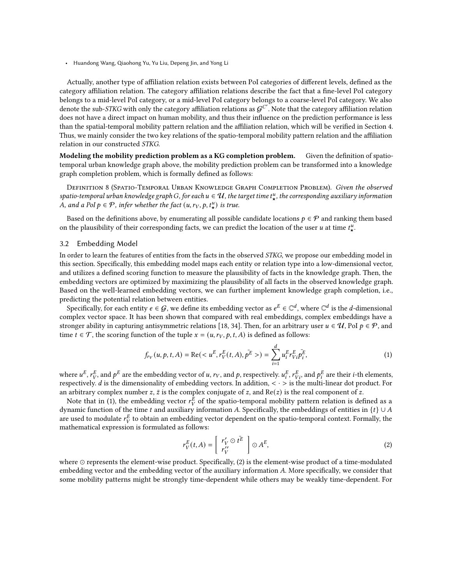Actually, another type of affiliation relation exists between PoI categories of different levels, defined as the category affiliation relation. The category affiliation relations describe the fact that a fine-level PoI category belongs to a mid-level PoI category, or a mid-level PoI category belongs to a coarse-level PoI category. We also denote the sub-STKG with only the category affiliation relations as  $G^{C'}$ . Note that the category affiliation relation does not have a direct impact on human mobility, and thus their influence on the prediction performance is less than the spatial-temporal mobility pattern relation and the affiliation relation, which will be verified in Section [4.](#page-8-0) Thus, we mainly consider the two key relations of the spatio-temporal mobility pattern relation and the affiliation relation in our constructed STKG.

Modeling the mobility prediction problem as a KG completion problem. Given the definition of spatiotemporal urban knowledge graph above, the mobility prediction problem can be transformed into a knowledge graph completion problem, which is formally defined as follows:

DEFINITION 8 (SPATIO-TEMPORAL URBAN KNOWLEDGE GRAPH COMPLETION PROBLEM). Given the observed spatio-temporal urban knowledge graph G, for each  $u\in U$ , the target time  $t_\star^u$ , the corresponding auxiliary information A, and a PoI  $p \in \mathcal{P}$ , infer whether the fact  $(u, r_V, p, t^u)$  is true.

Based on the definitions above, by enumerating all possible candidate locations  $p \in \mathcal{P}$  and ranking them based on the plausibility of their corresponding facts, we can predict the location of the user u at time  $t^u_{\star}$ .

#### 3.2 Embedding Model

In order to learn the features of entities from the facts in the observed STKG, we propose our embedding model in this section. Specifically, this embedding model maps each entity or relation type into a low-dimensional vector, and utilizes a defined scoring function to measure the plausibility of facts in the knowledge graph. Then, the embedding vectors are optimized by maximizing the plausibility of all facts in the observed knowledge graph. Based on the well-learned embedding vectors, we can further implement knowledge graph completion, i.e., predicting the potential relation between entities.

Specifically, for each entity  $e \in G$ , we define its embedding vector as  $e^E \in \mathbb{C}^d$ , where  $\mathbb{C}^d$  is the *d*-dimensional complex vector space. It has been shown that compared with real embeddings, complex embeddings have a stronger ability in capturing antisymmetric relations [\[18,](#page-21-6) [34\]](#page-22-8). Then, for an arbitrary user  $u \in \mathcal{U}$ , PoI  $p \in \mathcal{P}$ , and time  $t \in \mathcal{T}$ , the scoring function of the tuple  $x = (u, r_V, p, t, A)$  is defined as follows:

<span id="page-5-0"></span>
$$
f_{rv}(u, p, t, A) = \text{Re}(E, r_V^E(t, A), \bar{p^E}>)=\sum_{i=1}^d u_i^E r_{Vi}^E \bar{p_i^E},
$$
\n(1)

where  $u^E$ ,  $r_V^E$ , and  $p^E$  are the embedding vector of  $u$ ,  $r_V$ , and  $p$ , respectively.  $u^E_i$ ,  $r^E_{Vi}$ , and  $p^E_i$  are their  $i$ -th elements, respectively. *d* is the dimensionality of embedding vectors. In addition,  $\langle \cdot \rangle$  is the multi-linear dot product. For an arbitrary complex number  $z$ ,  $\bar{z}$  is the complex conjugate of  $z$ , and Re( $z$ ) is the real component of  $z$ .

Note that in [\(1\)](#page-5-0), the embedding vector  $r_V^{\overline{E}}$  of the spatio-temporal mobility pattern relation is defined as a dynamic function of the time  $t$  and auxiliary information A. Specifically, the embeddings of entities in  $\{t\} \cup A$ are used to modulate  $r_V^E$  to obtain an embedding vector dependent on the spatio-temporal context. Formally, the mathematical expression is formulated as follows:

<span id="page-5-1"></span>
$$
r_V^E(t, A) = \begin{bmatrix} r_V' \odot t^{\overline{E}} \\ r_V'' \end{bmatrix} \odot A^E,
$$
 (2)

where ⊙ represents the element-wise product. Specifically, [\(2\)](#page-5-1) is the element-wise product of a time-modulated embedding vector and the embedding vector of the auxiliary information A. More specifically, we consider that some mobility patterns might be strongly time-dependent while others may be weakly time-dependent. For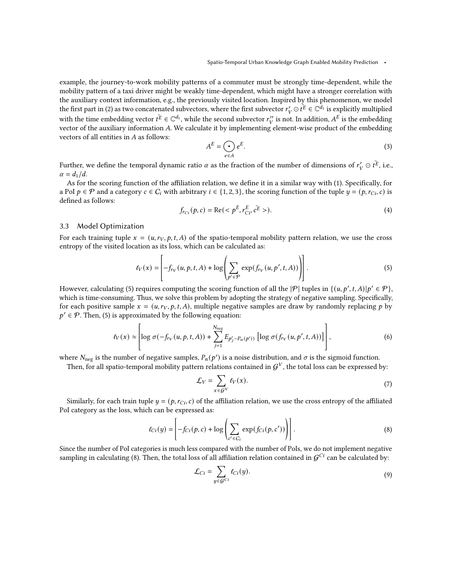example, the journey-to-work mobility patterns of a commuter must be strongly time-dependent, while the mobility pattern of a taxi driver might be weakly time-dependent, which might have a stronger correlation with the auxiliary context information, e.g., the previously visited location. Inspired by this phenomenon, we model the first part in [\(2\)](#page-5-1) as two concatenated subvectors, where the first subvector  $r'_V \odot t^E \in \mathbb{C}^{d_1}$  is explicitly multiplied with the time embedding vector  $t^{\overline{E}} \in \mathbb{C}^{d_1}$ , while the second subvector  $r''_V$  is not. In addition,  $A^E$  is the embedding vector of the auxiliary information A. We calculate it by implementing element-wise product of the embedding vectors of all entities in  $A$  as follows:

$$
A^E = \bigodot_{e \in A} e^E. \tag{3}
$$

Further, we define the temporal dynamic ratio  $\alpha$  as the fraction of the number of dimensions of  $r'_V\odot\bar{t^E}$ , i.e.,  $\alpha = d_1/d.$ 

As for the scoring function of the affiliation relation, we define it in a similar way with [\(1\)](#page-5-0). Specifically, for a PoI  $p \in \mathcal{P}$  and a category  $c \in C_i$  with arbitrary  $i \in \{1, 2, 3\}$ , the scoring function of the tuple  $y = (p, r_{Ci}, c)$  is defined as follows:

<span id="page-6-3"></span>
$$
f_{rci}(p, c) = \text{Re}()
$$
 (4)

#### 3.3 Model Optimization

For each training tuple  $x = (u, r_V, p, t, A)$  of the spatio-temporal mobility pattern relation, we use the cross entropy of the visited location as its loss, which can be calculated as:

<span id="page-6-0"></span>
$$
\ell_V(x) = \left[ -f_{r_V}(u, p, t, A) + \log \left( \sum_{p' \in \mathcal{P}} \exp(f_{r_V}(u, p', t, A)) \right) \right].
$$
 (5)

However, calculating [\(5\)](#page-6-0) requires computing the scoring function of all the  $|\mathcal{P}|$  tuples in  $\{(u, p', t, A)|p' \in \mathcal{P}\}\$ , which is time-consuming. Thus, we solve this problem by adopting the strategy of negative sampling. Specifically, for each positive sample  $x = (u, r_V, p, t, A)$ , multiple negative samples are draw by randomly replacing p by  $p' \in \mathcal{P}$ . Then, [\(5\)](#page-6-0) is approximated by the following equation:

<span id="page-6-2"></span>
$$
\ell_V(x) \approx \left[ \log \sigma(-f_{rv}(u, p, t, A)) + \sum_{j=1}^{N_{\text{neg}}} E_{p'_j \sim P_n(p')}) \left[ \log \sigma(f_{rv}(u, p', t, A)) \right] \right],\tag{6}
$$

where  $N_{\text{neg}}$  is the number of negative samples,  $P_n(p')$  is a noise distribution, and  $\sigma$  is the sigmoid function.

Then, for all spatio-temporal mobility pattern relations contained in  $\mathcal{G}^V$ , the total loss can be expressed by:

$$
\mathcal{L}_V = \sum_{x \in \mathcal{G}^V} \ell_V(x). \tag{7}
$$

Similarly, for each train tuple  $y = (p, r_{Ci}, c)$  of the affiliation relation, we use the cross entropy of the affiliated PoI category as the loss, which can be expressed as:

<span id="page-6-1"></span>
$$
\ell_{Ci}(y) = \left[ -f_{Ci}(p, c) + \log \left( \sum_{c' \in C_i} \exp(f_{Ci}(p, c')) \right) \right].
$$
\n(8)

Since the number of PoI categories is much less compared with the number of PoIs, we do not implement negative sampling in calculating [\(8\)](#page-6-1). Then, the total loss of all affiliation relation contained in  $G^{Ci}$  can be calculated by:

$$
\mathcal{L}_{Ci} = \sum_{y \in \mathcal{G}^{Ci}} \ell_{Ci}(y). \tag{9}
$$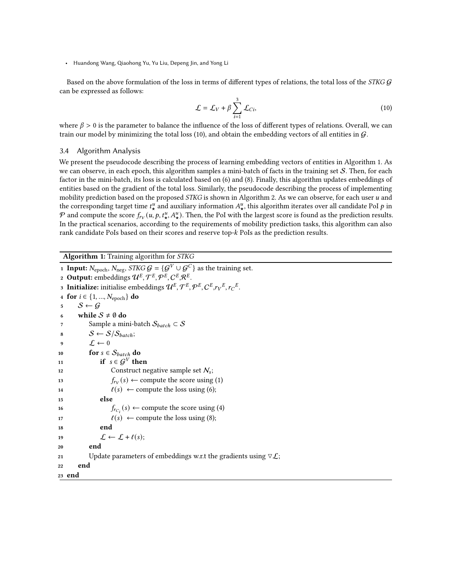Based on the above formulation of the loss in terms of different types of relations, the total loss of the STKG  $G$ can be expressed as follows:

<span id="page-7-0"></span>
$$
\mathcal{L} = \mathcal{L}_V + \beta \sum_{i=1}^{3} \mathcal{L}_{Ci},
$$
\n(10)

where  $\beta > 0$  is the parameter to balance the influence of the loss of different types of relations. Overall, we can train our model by minimizing the total loss [\(10\)](#page-7-0), and obtain the embedding vectors of all entities in  $\mathcal{G}$ .

## 3.4 Algorithm Analysis

We present the pseudocode describing the process of learning embedding vectors of entities in Algorithm [1.](#page-7-1) As we can observe, in each epoch, this algorithm samples a mini-batch of facts in the training set  $S$ . Then, for each factor in the mini-batch, its loss is calculated based on [\(6\)](#page-6-2) and [\(8\)](#page-6-1). Finally, this algorithm updates embeddings of entities based on the gradient of the total loss. Similarly, the pseudocode describing the process of implementing mobility prediction based on the proposed STKG is shown in Algorithm [2.](#page-8-1) As we can observe, for each user u and the corresponding target time  $t^u_\star$  and auxiliary information  $A^u_\star$ , this algorithm iterates over all candidate PoI p in  $\mathcal P$  and compute the score  $f_{r_V}(u, p, t^u_\star, A^u_\star)$ . Then, the PoI with the largest score is found as the prediction results. In the practical scenarios, according to the requirements of mobility prediction tasks, this algorithm can also rank candidate PoIs based on their scores and reserve top- $k$  PoIs as the prediction results.

Algorithm 1: Training algorithm for STKG

```
1 Input: N_{\text{epoch}}, N_{\text{neg}}, \overline{SKG \ G} = \{ \overline{\mathcal{G}}^V \cup \mathcal{G}^C \} as the training set.
 2 Output: embeddings \mathcal{U}^E, \mathcal{T}^E, \mathcal{P}^E, C^E, \mathcal{R}^E.
 3 Initialize: initialise embeddings \mathcal{U}^E, \mathcal{T}^E, \mathcal{P}^E, C^E, r_V^E, r_C^E.4 for i \in \{1, ..., N_{\text{epoch}}\} do
 5 S \leftarrow G6 while S \neq \emptyset do
 7 Sample a mini-batch S_{batch} \subset S8 S \leftarrow S/S_{batch};9 \mathcal{L} \leftarrow 010 for s \in S_{batch} do
11 if s \in \mathcal{G}^V then
12 Construct negative sample set N_s;
13 f_{ry}(s) \leftarrow(1)
14 \ell(s) \leftarrow(6);
15 else
16 f_{r_{C_i}}(s) \leftarrow(4)
17 f(s) \leftarrow(8);
18 end
19 \mathcal{L} \leftarrow \mathcal{L} + \ell(s);20 end
21 Update parameters of embeddings w.r.t the gradients using \nabla \mathcal{L};
22 end
23 end
```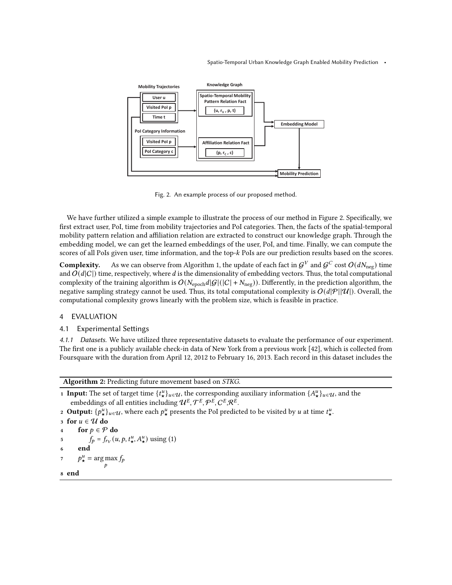<span id="page-8-2"></span>

Fig. 2. An example process of our proposed method.

We have further utilized a simple example to illustrate the process of our method in Figure [2.](#page-8-2) Specifically, we first extract user, PoI, time from mobility trajectories and PoI categories. Then, the facts of the spatial-temporal mobility pattern relation and affiliation relation are extracted to construct our knowledge graph. Through the embedding model, we can get the learned embeddings of the user, PoI, and time. Finally, we can compute the scores of all PoIs given user, time information, and the top-k PoIs are our prediction results based on the scores.

**Complexity.** As we can observe from Algorithm [1,](#page-7-1) the update of each fact in  $\mathcal{G}^V$  and  $\mathcal{G}^C$  cost  $O(dN_\text{neg})$  time and  $O(d|C|)$  time, respectively, where d is the dimensionality of embedding vectors. Thus, the total computational complexity of the training algorithm is  $O(N_{\text{epoch}}d|G|(|C| + N_{\text{neg}}))$ . Differently, in the prediction algorithm, the negative sampling strategy cannot be used. Thus, its total computational complexity is  $O(d|\mathcal{P}||\mathcal{U}|)$ . Overall, the computational complexity grows linearly with the problem size, which is feasible in practice.

# <span id="page-8-0"></span>4 EVALUATION

## 4.1 Experimental Settings

4.1.1 Datasets. We have utilized three representative datasets to evaluate the performance of our experiment. The first one is a publicly available check-in data of New York from a previous work [\[42\]](#page-22-9), which is collected from Foursquare with the duration from April 12, 2012 to February 16, 2013. Each record in this dataset includes the

Algorithm 2: Predicting future movement based on STKG.

- <span id="page-8-1"></span>**1 Input:** The set of target time  $\{t^u_\star\}_{u \in \mathcal{U}}$ , the corresponding auxiliary information  $\{A^u_\star\}_{u \in \mathcal{U}}$ , and the embeddings of all entities including  $\mathcal{U}^{E}, \mathcal{T}^{E}, \mathcal{P}^{E}, \mathcal{C}^{E}, \mathcal{R}^{E}$ .
- 2 **Output:**  $\{p^u_\star\}_{u \in \mathcal{U}}$ , where each  $p^u_\star$  presents the PoI predicted to be visited by u at time  $t^u_\star$ .

```
3 for u \in U do
4 for p \in \mathcal{P} do
5 f_p = f_{ry}(u, p, t^u, A^u) using (1)
6 end
p^u_{\star} = \argmax_{p} f_p8 end
```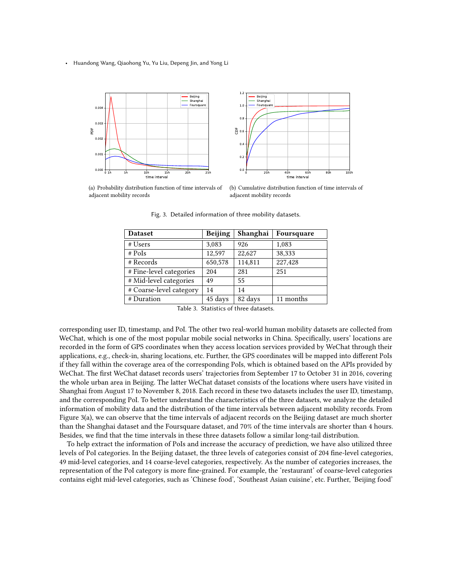<span id="page-9-0"></span>

<span id="page-9-1"></span>(a) Probability distribution function of time intervals of adjacent mobility records



(b) Cumulative distribution function of time intervals of adjacent mobility records

Fig. 3. Detailed information of three mobility datasets.

| <b>Dataset</b>          | <b>Beijing</b> | Shanghai | Foursquare |
|-------------------------|----------------|----------|------------|
| # Users                 | 3,083          | 926      | 1,083      |
| $#$ PoIs                | 12,597         | 22,627   | 38,333     |
| # Records               | 650,578        | 114,811  | 227,428    |
| # Fine-level categories | 204            | 281      | 251        |
| # Mid-level categories  | 49             | 55       |            |
| # Coarse-level category | 14             | 14       |            |
| # Duration              | 45 days        | 82 days  | 11 months  |

Table 3. Statistics of three datasets.

corresponding user ID, timestamp, and PoI. The other two real-world human mobility datasets are collected from WeChat, which is one of the most popular mobile social networks in China. Specifically, users' locations are recorded in the form of GPS coordinates when they access location services provided by WeChat through their applications, e.g., check-in, sharing locations, etc. Further, the GPS coordinates will be mapped into different PoIs if they fall within the coverage area of the corresponding PoIs, which is obtained based on the APIs provided by WeChat. The first WeChat dataset records users' trajectories from September 17 to October 31 in 2016, covering the whole urban area in Beijing. The latter WeChat dataset consists of the locations where users have visited in Shanghai from August 17 to November 8, 2018. Each record in these two datasets includes the user ID, timestamp, and the corresponding PoI. To better understand the characteristics of the three datasets, we analyze the detailed information of mobility data and the distribution of the time intervals between adjacent mobility records. From Figure [3\(a\),](#page-9-0) we can observe that the time intervals of adjacent records on the Beijing dataset are much shorter than the Shanghai dataset and the Foursquare dataset, and 70% of the time intervals are shorter than 4 hours. Besides, we find that the time intervals in these three datasets follow a similar long-tail distribution.

To help extract the information of PoIs and increase the accuracy of prediction, we have also utilized three levels of PoI categories. In the Beijing dataset, the three levels of categories consist of 204 fine-level categories, 49 mid-level categories, and 14 coarse-level categories, respectively. As the number of categories increases, the representation of the PoI category is more fine-grained. For example, the 'restaurant' of coarse-level categories contains eight mid-level categories, such as 'Chinese food', 'Southeast Asian cuisine', etc. Further, 'Beijing food'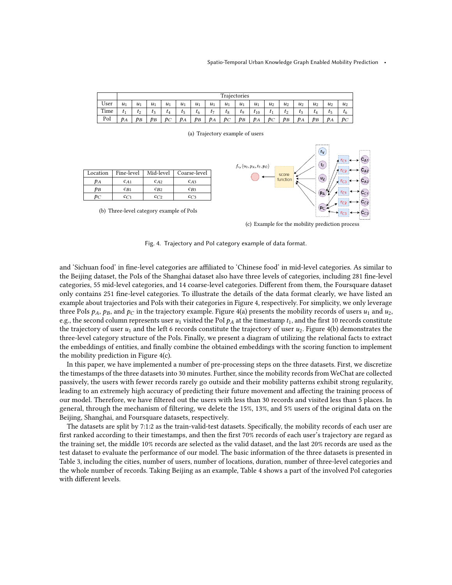<span id="page-10-1"></span><span id="page-10-0"></span>

|      |       | Trajectories |       |       |       |                |       |       |       |          |       |       |                |           |       |                |
|------|-------|--------------|-------|-------|-------|----------------|-------|-------|-------|----------|-------|-------|----------------|-----------|-------|----------------|
| User | $u_1$ | $u_1$        | $u_1$ | $u_1$ | $u_1$ | $u_1$          | $u_1$ | $u_1$ | $u_1$ | $u_1$    | $u_2$ | $u_2$ | u <sub>2</sub> | $u_2$     | $u_2$ | u <sub>2</sub> |
| Time | t1    | $t_2$        | $t_3$ | $t_4$ | t5    | τ <sub>6</sub> | t7    | $t_8$ | t,    | $t_{10}$ | $t_1$ | $t_2$ | Iз             | $\iota_4$ | t5    | τ <sub>6</sub> |
| PoI  | $p_A$ | $p_B$        | $p_B$ | $p_C$ | $p_A$ | $p_B$          | $p_A$ | $p_C$ | $p_B$ | PА       | $p_C$ | $p_B$ | $p_A$          | pв        | $p_A$ | $p_C$          |

(a) Trajectory example of users

<span id="page-10-2"></span>

<span id="page-10-3"></span>(c) Example for the mobility prediction process

Fig. 4. Trajectory and PoI category example of data format.

and 'Sichuan food' in fine-level categories are affiliated to 'Chinese food' in mid-level categories. As similar to the Beijing dataset, the PoIs of the Shanghai dataset also have three levels of categories, including 281 fine-level categories, 55 mid-level categories, and 14 coarse-level categories. Different from them, the Foursquare dataset only contains 251 fine-level categories. To illustrate the details of the data format clearly, we have listed an example about trajectories and PoIs with their categories in Figure [4,](#page-10-0) respectively. For simplicity, we only leverage three PoIs  $p_A$ ,  $p_B$ , and  $p_C$  in the trajectory example. Figure [4\(a\)](#page-10-1) presents the mobility records of users  $u_1$  and  $u_2$ , e.g., the second column represents user  $u_1$  visited the PoI  $p_A$  at the timestamp  $t_1$ , and the first 10 records constitute the trajectory of user  $u_1$  and the left 6 records constitute the trajectory of user  $u_2$ . Figure [4\(b\)](#page-10-2) demonstrates the three-level category structure of the PoIs. Finally, we present a diagram of utilizing the relational facts to extract the embeddings of entities, and finally combine the obtained embeddings with the scoring function to implement the mobility prediction in Figure [4\(c\).](#page-10-3)

In this paper, we have implemented a number of pre-processing steps on the three datasets. First, we discretize the timestamps of the three datasets into 30 minutes. Further, since the mobility records from WeChat are collected passively, the users with fewer records rarely go outside and their mobility patterns exhibit strong regularity, leading to an extremely high accuracy of predicting their future movement and affecting the training process of our model. Therefore, we have filtered out the users with less than 30 records and visited less than 5 places. In general, through the mechanism of filtering, we delete the 15%, 13%, and 5% users of the original data on the Beijing, Shanghai, and Foursquare datasets, respectively.

The datasets are split by 7:1:2 as the train-valid-test datasets. Specifically, the mobility records of each user are first ranked according to their timestamps, and then the first 70% records of each user's trajectory are regard as the training set, the middle 10% records are selected as the valid dataset, and the last 20% records are used as the test dataset to evaluate the performance of our model. The basic information of the three datasets is presented in Table [3,](#page-9-1) including the cities, number of users, number of locations, duration, number of three-level categories and the whole number of records. Taking Beijing as an example, Table [4](#page-11-0) shows a part of the involved PoI categories with different levels.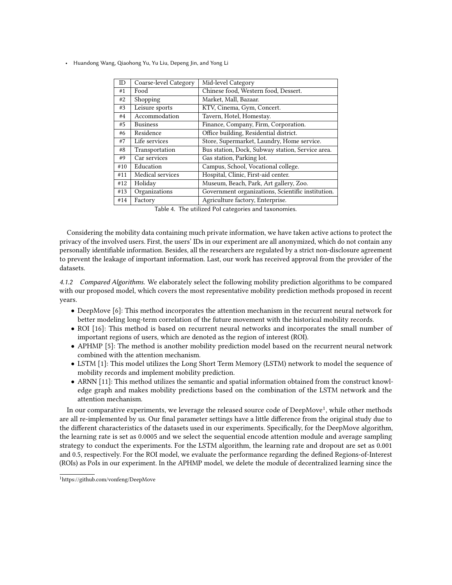<span id="page-11-0"></span>

| ID  | Coarse-level Category | Mid-level Category                                |
|-----|-----------------------|---------------------------------------------------|
| #1  | Food                  | Chinese food, Western food, Dessert.              |
| #2  | Shopping              | Market, Mall, Bazaar.                             |
| #3  | Leisure sports        | KTV, Cinema, Gym, Concert.                        |
| #4  | Accommodation         | Tavern, Hotel, Homestay.                          |
| #5  | <b>Business</b>       | Finance, Company, Firm, Corporation.              |
| #6  | Residence             | Office building, Residential district.            |
| #7  | Life services         | Store, Supermarket, Laundry, Home service.        |
| #8  | Transportation        | Bus station, Dock, Subway station, Service area.  |
| #9  | Car services          | Gas station, Parking lot.                         |
| #10 | Education             | Campus, School, Vocational college.               |
| #11 | Medical services      | Hospital, Clinic, First-aid center.               |
| #12 | Holiday               | Museum, Beach, Park, Art gallery, Zoo.            |
| #13 | Organizations         | Government organizations, Scientific institution. |
| #14 | Factory               | Agriculture factory, Enterprise.                  |

Table 4. The utilized PoI categories and taxonomies.

Considering the mobility data containing much private information, we have taken active actions to protect the privacy of the involved users. First, the users' IDs in our experiment are all anonymized, which do not contain any personally identifiable information. Besides, all the researchers are regulated by a strict non-disclosure agreement to prevent the leakage of important information. Last, our work has received approval from the provider of the datasets.

4.1.2 Compared Algorithms. We elaborately select the following mobility prediction algorithms to be compared with our proposed model, which covers the most representative mobility prediction methods proposed in recent years.

- DeepMove [\[6\]](#page-21-7): This method incorporates the attention mechanism in the recurrent neural network for better modeling long-term correlation of the future movement with the historical mobility records.
- ROI [\[16\]](#page-21-8): This method is based on recurrent neural networks and incorporates the small number of important regions of users, which are denoted as the region of interest (ROI).
- APHMP [\[5\]](#page-21-9): The method is another mobility prediction model based on the recurrent neural network combined with the attention mechanism.
- LSTM [\[1\]](#page-20-1): This model utilizes the Long Short Term Memory (LSTM) network to model the sequence of mobility records and implement mobility prediction.
- ARNN [\[11\]](#page-21-10): This method utilizes the semantic and spatial information obtained from the construct knowledge graph and makes mobility predictions based on the combination of the LSTM network and the attention mechanism.

In our comparative experiments, we leverage the released source code of DeepMove<sup>[1](#page-11-1)</sup>, while other methods are all re-implemented by us. Our final parameter settings have a little difference from the original study due to the different characteristics of the datasets used in our experiments. Specifically, for the DeepMove algorithm, the learning rate is set as 0.0005 and we select the sequential encode attention module and average sampling strategy to conduct the experiments. For the LSTM algorithm, the learning rate and dropout are set as 0.001 and 0.5, respectively. For the ROI model, we evaluate the performance regarding the defined Regions-of-Interest (ROIs) as PoIs in our experiment. In the APHMP model, we delete the module of decentralized learning since the

<span id="page-11-1"></span><sup>1</sup>https://github.com/vonfeng/DeepMove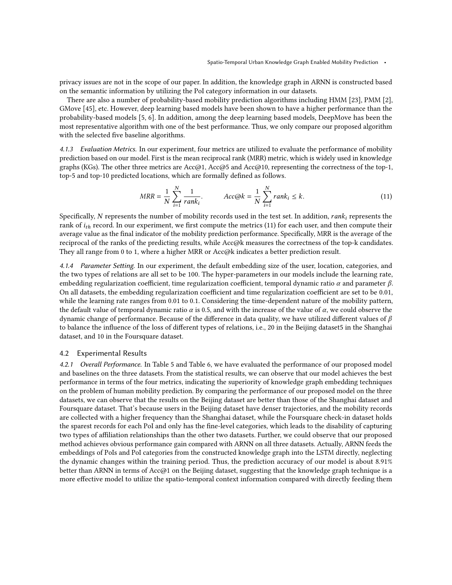privacy issues are not in the scope of our paper. In addition, the knowledge graph in ARNN is constructed based on the semantic information by utilizing the PoI category information in our datasets.

There are also a number of probability-based mobility prediction algorithms including HMM [\[23\]](#page-21-11), PMM [\[2\]](#page-20-2), GMove [\[45\]](#page-22-10), etc. However, deep learning based models have been shown to have a higher performance than the probability-based models [\[5,](#page-21-9) [6\]](#page-21-7). In addition, among the deep learning based models, DeepMove has been the most representative algorithm with one of the best performance. Thus, we only compare our proposed algorithm with the selected five baseline algorithms.

4.1.3 Evaluation Metrics. In our experiment, four metrics are utilized to evaluate the performance of mobility prediction based on our model. First is the mean reciprocal rank (MRR) metric, which is widely used in knowledge graphs (KGs). The other three metrics are Acc@1, Acc@5 and Acc@10, representing the correctness of the top-1, top-5 and top-10 predicted locations, which are formally defined as follows.

<span id="page-12-0"></span>
$$
MRR = \frac{1}{N} \sum_{i=1}^{N} \frac{1}{rank_i}.
$$
 
$$
Acc@k = \frac{1}{N} \sum_{i=1}^{N} rank_i \le k.
$$
 (11)

Specifically, N represents the number of mobility records used in the test set. In addition,  $rank_i$  represents the rank of  $i_{th}$  record. In our experiment, we first compute the metrics [\(11\)](#page-12-0) for each user, and then compute their average value as the final indicator of the mobility prediction performance. Specifically, MRR is the average of the reciprocal of the ranks of the predicting results, while Acc@k measures the correctness of the top-k candidates. They all range from 0 to 1, where a higher MRR or Acc@k indicates a better prediction result.

4.1.4 Parameter Setting. In our experiment, the default embedding size of the user, location, categories, and the two types of relations are all set to be 100. The hyper-parameters in our models include the learning rate, embedding regularization coefficient, time regularization coefficient, temporal dynamic ratio  $\alpha$  and parameter  $\beta$ . On all datasets, the embedding regularization coefficient and time regularization coefficient are set to be 0.01, while the learning rate ranges from 0.01 to 0.1. Considering the time-dependent nature of the mobility pattern, the default value of temporal dynamic ratio  $\alpha$  is 0.5, and with the increase of the value of  $\alpha$ , we could observe the dynamic change of performance. Because of the difference in data quality, we have utilized different values of  $\beta$ to balance the influence of the loss of different types of relations, i.e., 20 in the Beijing dataset5 in the Shanghai dataset, and 10 in the Foursquare dataset.

# 4.2 Experimental Results

4.2.1 Overall Performance. In Table [5](#page-13-0) and Table [6,](#page-13-1) we have evaluated the performance of our proposed model and baselines on the three datasets. From the statistical results, we can observe that our model achieves the best performance in terms of the four metrics, indicating the superiority of knowledge graph embedding techniques on the problem of human mobility prediction. By comparing the performance of our proposed model on the three datasets, we can observe that the results on the Beijing dataset are better than those of the Shanghai dataset and Foursquare dataset. That's because users in the Beijing dataset have denser trajectories, and the mobility records are collected with a higher frequency than the Shanghai dataset, while the Foursquare check-in dataset holds the sparest records for each PoI and only has the fine-level categories, which leads to the disability of capturing two types of affiliation relationships than the other two datasets. Further, we could observe that our proposed method achieves obvious performance gain compared with ARNN on all three datasets. Actually, ARNN feeds the embeddings of PoIs and PoI categories from the constructed knowledge graph into the LSTM directly, neglecting the dynamic changes within the training period. Thus, the prediction accuracy of our model is about 8.91% better than ARNN in terms of Acc@1 on the Beijing dataset, suggesting that the knowledge graph technique is a more effective model to utilize the spatio-temporal context information compared with directly feeding them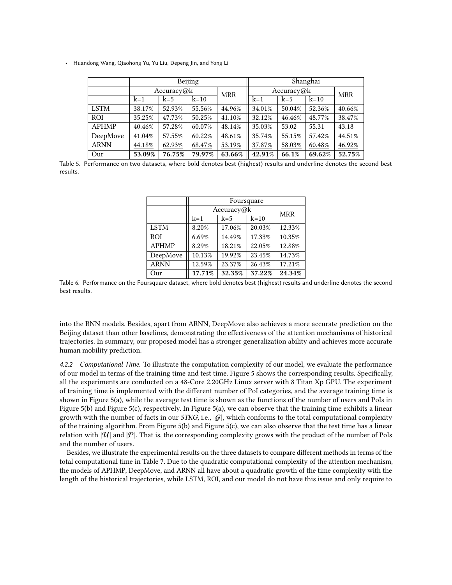<span id="page-13-0"></span>

|              |            |        | Beijing |            | Shanghai   |            |        |        |  |
|--------------|------------|--------|---------|------------|------------|------------|--------|--------|--|
|              | Accuracy@k |        |         | <b>MRR</b> | Accuracy@k | <b>MRR</b> |        |        |  |
|              | $k=1$      | $k=5$  | $k=10$  |            | $k=1$      | $k=5$      | $k=10$ |        |  |
| <b>LSTM</b>  | 38.17%     | 52.93% | 55.56%  | 44.96%     | 34.01%     | 50.04%     | 52.36% | 40.66% |  |
| <b>ROI</b>   | 35.25%     | 47.73% | 50.25%  | 41.10%     | 32.12%     | 46.46%     | 48.77% | 38.47% |  |
| <b>APHMP</b> | 40.46%     | 57.28% | 60.07%  | 48.14%     | 35.03%     | 53.02      | 55.31  | 43.18  |  |
| DeepMove     | 41.04%     | 57.55% | 60.22%  | 48.61%     | 35.74%     | 55.15%     | 57.42% | 44.51% |  |
| <b>ARNN</b>  | 44.18%     | 62.93% | 68.47%  | 53.19%     | 37.87%     | 58.03%     | 60.48% | 46.92% |  |
| Our          | 53.09%     | 76.75% | 79.97%  | 63.66%     | 42.91%     | 66.1%      | 69.62% | 52.75% |  |

<span id="page-13-1"></span>Table 5. Performance on two datasets, where bold denotes best (highest) results and underline denotes the second best results.

|              | Foursquare |                 |        |        |  |  |  |  |  |
|--------------|------------|-----------------|--------|--------|--|--|--|--|--|
|              |            | Accuracy@k      |        |        |  |  |  |  |  |
|              | $k=1$      | $k=5$<br>$k=10$ |        |        |  |  |  |  |  |
| <b>LSTM</b>  | 8.20%      | 17.06%          | 20.03% | 12.33% |  |  |  |  |  |
| <b>ROI</b>   | 6.69%      | 14.49%          | 17.33% | 10.35% |  |  |  |  |  |
| <b>APHMP</b> | 8.29%      | 18.21%          | 22.05% | 12.88% |  |  |  |  |  |
| DeepMove     | 10.13%     | 19.92%          | 23.45% | 14.73% |  |  |  |  |  |
| <b>ARNN</b>  | 12.59%     | 23.37%          | 26.43% | 17.21% |  |  |  |  |  |
| Our          | 17.71%     | 32.35%          | 37.22% | 24.34% |  |  |  |  |  |

Table 6. Performance on the Foursquare dataset, where bold denotes best (highest) results and underline denotes the second best results.

into the RNN models. Besides, apart from ARNN, DeepMove also achieves a more accurate prediction on the Beijing dataset than other baselines, demonstrating the effectiveness of the attention mechanisms of historical trajectories. In summary, our proposed model has a stronger generalization ability and achieves more accurate human mobility prediction.

4.2.2 Computational Time. To illustrate the computation complexity of our model, we evaluate the performance of our model in terms of the training time and test time. Figure [5](#page-14-0) shows the corresponding results. Specifically, all the experiments are conducted on a 48-Core 2.20GHz Linux server with 8 Titan Xp GPU. The experiment of training time is implemented with the different number of PoI categories, and the average training time is shown in Figure [5\(a\),](#page-14-1) while the average test time is shown as the functions of the number of users and PoIs in Figure [5\(b\)](#page-14-2) and Figure [5\(c\),](#page-14-3) respectively. In Figure [5\(a\),](#page-14-1) we can observe that the training time exhibits a linear growth with the number of facts in our STKG, i.e.,  $|\mathcal{G}|$ , which conforms to the total computational complexity of the training algorithm. From Figure [5\(b\)](#page-14-2) and Figure [5\(c\),](#page-14-3) we can also observe that the test time has a linear relation with  $|\mathcal{U}|$  and  $|\mathcal{P}|$ . That is, the corresponding complexity grows with the product of the number of PoIs and the number of users.

Besides, we illustrate the experimental results on the three datasets to compare different methods in terms of the total computational time in Table [7.](#page-14-4) Due to the quadratic computational complexity of the attention mechanism, the models of APHMP, DeepMove, and ARNN all have about a quadratic growth of the time complexity with the length of the historical trajectories, while LSTM, ROI, and our model do not have this issue and only require to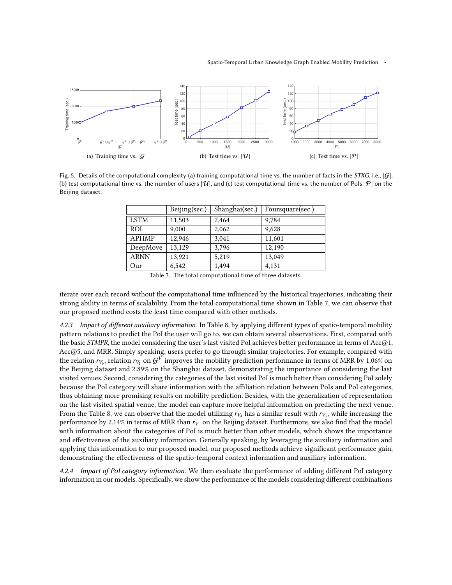<span id="page-14-1"></span><span id="page-14-0"></span>

<span id="page-14-4"></span>Fig. 5. Details of the computational complexity (a) training computational time vs. the number of facts in the *STKG*, i.e.,  $|G|$ , (b) test computational time vs. the number of users  $|\mathcal{U}|$ , and (c) test computational time vs. the number of PoIs  $|\mathcal{P}|$  on the Beijing dataset.

<span id="page-14-3"></span><span id="page-14-2"></span>

|              | Beijing(sec.) | Shanghai(sec.) | Foursquare(sec.) |
|--------------|---------------|----------------|------------------|
| <b>LSTM</b>  | 11,503        | 2,464          | 9,784            |
| <b>ROI</b>   | 9,000         | 2,062          | 9,628            |
| <b>APHMP</b> | 12,946        | 3,041          | 11,601           |
| DeepMove     | 13,129        | 3,796          | 12,190           |
| <b>ARNN</b>  | 13,921        | 5,219          | 13,049           |
| Our          | 6,542         | 1,494          | 4,131            |

Table 7. The total computational time of three datasets.

iterate over each record without the computational time influenced by the historical trajectories, indicating their strong ability in terms of scalability. From the total computational time shown in Table [7,](#page-14-4) we can observe that our proposed method costs the least time compared with other methods.

4.2.3 Impact of different auxiliary information. In Table [8,](#page-15-0) by applying different types of spatio-temporal mobility pattern relations to predict the PoI the user will go to, we can obtain several observations. First, compared with the basic STMPR, the model considering the user's last visited PoI achieves better performance in terms of Acc@1, Acc@5, and MRR. Simply speaking, users prefer to go through similar trajectories. For example, compared with the relation  $r_{V_0}$ , relation  $r_{V_1}$  on  $G^V$  improves the mobility prediction performance in terms of MRR by 1.06% on the Beijing dataset and 2.89% on the Shanghai dataset, demonstrating the importance of considering the last visited venues. Second, considering the categories of the last visited PoI is much better than considering PoI solely because the PoI category will share information with the affiliation relation between PoIs and PoI categories, thus obtaining more promising results on mobility prediction. Besides, with the generalization of representation on the last visited spatial venue, the model can capture more helpful information on predicting the next venue. From the Table [8,](#page-15-0) we can observe that the model utilizing  $r_{V_4}$  has a similar result with  $r_{V_3}$ , while increasing the performance by 2.14% in terms of MRR than  $r_{V_1}$  on the Beijing dataset. Furthermore, we also find that the model with information about the categories of PoI is much better than other models, which shows the importance and effectiveness of the auxiliary information. Generally speaking, by leveraging the auxiliary information and applying this information to our proposed model, our proposed methods achieve significant performance gain, demonstrating the effectiveness of the spatio-temporal context information and auxiliary information.

4.2.4 Impact of PoI category information. We then evaluate the performance of adding different PoI category information in our models. Specifically, we show the performance of the models considering different combinations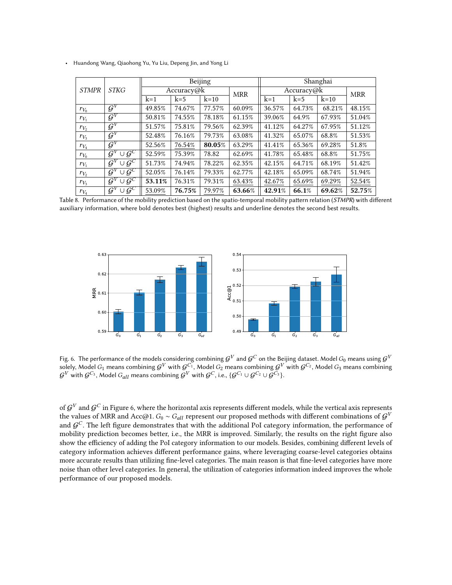<span id="page-15-0"></span>

|                             |                                                   |        |            | Beijing |            | Shanghai   |            |        |        |  |
|-----------------------------|---------------------------------------------------|--------|------------|---------|------------|------------|------------|--------|--------|--|
| <b>STKG</b><br><b>STMPR</b> |                                                   |        | Accuracy@k |         | <b>MRR</b> | Accuracy@k | <b>MRR</b> |        |        |  |
|                             |                                                   | $k=1$  | $k=5$      | $k=10$  |            | $k=1$      | $k=5$      | $k=10$ |        |  |
| $r_{V_0}$                   | $\mathcal{G}^V$                                   | 49.85% | 74.67%     | 77.57%  | 60.09%     | 36.57%     | 64.73%     | 68.21% | 48.15% |  |
| $r_{V_1}$                   | $\mathcal{G}^V$                                   | 50.81% | 74.55%     | 78.18%  | 61.15%     | 39.06%     | 64.9%      | 67.93% | 51.04% |  |
| $r_{V_2}$                   | $\mathcal{G}^V$                                   | 51.57% | 75.81%     | 79.56%  | 62.39%     | 41.12%     | 64.27%     | 67.95% | 51.12% |  |
| $r_{V_3}$                   | $\mathcal{G}^V$                                   | 52.48% | 76.16%     | 79.73%  | 63.08%     | 41.32%     | 65.07%     | 68.8%  | 51.53% |  |
| $r_{V_4}$                   | $\mathcal{G}^V$                                   | 52.56% | 76.54%     | 80.05%  | 63.29%     | 41.41%     | 65.36%     | 69.28% | 51.8%  |  |
| $r_{V_0}$                   | $G^C$<br>$\mathcal{G}^V$<br>$\cup$                | 52.59% | 75.39%     | 78.82   | 62.69%     | 41.78%     | 65.48%     | 68.8%  | 51.75% |  |
| $r_{V_1}$                   | $\cup \vec{\mathcal{G}}^{\mathcal{C}}$ .<br>$G^V$ | 51.73% | 74.94%     | 78.22%  | 62.35%     | 42.15%     | 64.71%     | 68.19% | 51.42% |  |
| $r_{V_2}$                   | $\cup \vec{\mathcal{G}}^{\mathcal{C}}$<br>$G^V$   | 52.05% | 76.14%     | 79.33%  | 62.77%     | 42.18%     | 65.09%     | 68.74% | 51.94% |  |
| $r_{V_3}$                   | $\cup \bar{\mathcal{G}}^C$ .<br>$\mathcal{G}^V$   | 53.11% | 76.31%     | 79.31%  | 63.43%     | 42.67%     | 65.69%     | 69.29% | 52.54% |  |
| $r_{V_4}$                   | $\cup \mathcal{G}^C$<br>$\mathcal{G}^V$           | 53.09% | 76.75%     | 79.97%  | 63.66%     | 42.91%     | 66.1%      | 69.62% | 52.75% |  |

• Huandong Wang, Qiaohong Yu, Yu Liu, Depeng Jin, and Yong Li

Table 8. Performance of the mobility prediction based on the spatio-temporal mobility pattern relation (STMPR) with different auxiliary information, where bold denotes best (highest) results and underline denotes the second best results.

<span id="page-15-1"></span>

Fig. 6. The performance of the models considering combining  ${\cal G}^V$  and  ${\cal G}^C$  on the Beijing dataset. Model  $G_0$  means using  ${\cal G}^V$ solely, Model  $G_1$  means combining  ${\cal G}^V$  with  ${\cal G}^{C_1}$ , Model  $G_2$  means combining  ${\cal G}^V$  with  ${\cal G}^{C_2}$ , Model  $G_3$  means combining  ${\cal G}^V$  with  ${\cal G}^{C_3}$ , Model  $G_{all}$  means combining  ${\cal G}^V$  with  ${\cal G}^C$ , i.e.,  $\{{\cal G}^{C_1}\cup{\cal G}^{C_2}\cup{\cal \breve{G}}^{C_3}\}$ .

of  $\mathcal{G}^V$  and  $\mathcal{G}^C$  in Figure [6,](#page-15-1) where the horizontal axis represents different models, while the vertical axis represents the values of MRR and Acc@1.  $G_0 \sim G_{all}$  represent our proposed methods with different combinations of  $\mathcal{G}^V$ and  $G^C$ . The left figure demonstrates that with the additional PoI category information, the performance of mobility prediction becomes better, i.e., the MRR is improved. Similarly, the results on the right figure also show the efficiency of adding the PoI category information to our models. Besides, combining different levels of category information achieves different performance gains, where leveraging coarse-level categories obtains more accurate results than utilizing fine-level categories. The main reason is that fine-level categories have more noise than other level categories. In general, the utilization of categories information indeed improves the whole performance of our proposed models.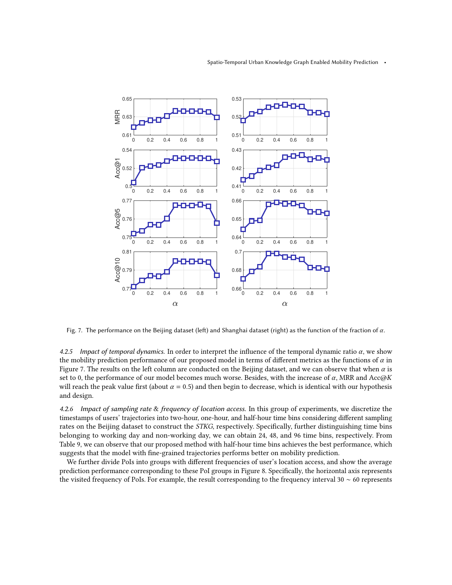<span id="page-16-0"></span>

Fig. 7. The performance on the Beijing dataset (left) and Shanghai dataset (right) as the function of the fraction of  $\alpha$ .

4.2.5 Impact of temporal dynamics. In order to interpret the influence of the temporal dynamic ratio  $\alpha$ , we show the mobility prediction performance of our proposed model in terms of different metrics as the functions of  $\alpha$  in Figure [7.](#page-16-0) The results on the left column are conducted on the Beijing dataset, and we can observe that when  $\alpha$  is set to 0, the performance of our model becomes much worse. Besides, with the increase of  $\alpha$ , MRR and Acc $\omega K$ will reach the peak value first (about  $\alpha = 0.5$ ) and then begin to decrease, which is identical with our hypothesis and design.

4.2.6 Impact of sampling rate & frequency of location access. In this group of experiments, we discretize the timestamps of users' trajectories into two-hour, one-hour, and half-hour time bins considering different sampling rates on the Beijing dataset to construct the STKG, respectively. Specifically, further distinguishing time bins belonging to working day and non-working day, we can obtain 24, 48, and 96 time bins, respectively. From Table [9,](#page-17-1) we can observe that our proposed method with half-hour time bins achieves the best performance, which suggests that the model with fine-grained trajectories performs better on mobility prediction.

We further divide PoIs into groups with different frequencies of user's location access, and show the average prediction performance corresponding to these PoI groups in Figure [8.](#page-18-0) Specifically, the horizontal axis represents the visited frequency of PoIs. For example, the result corresponding to the frequency interval 30 ∼ 60 represents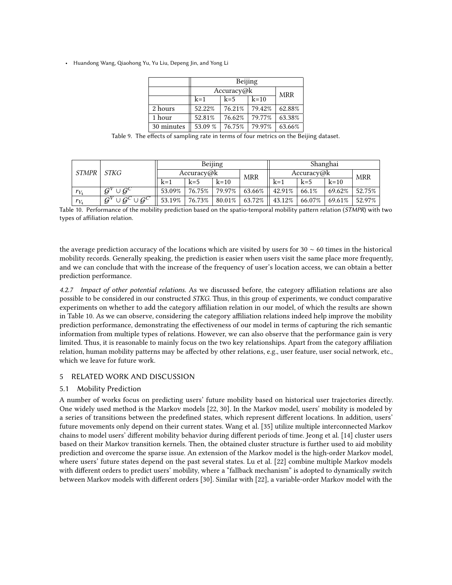|            | Beijing    |            |        |        |  |  |  |
|------------|------------|------------|--------|--------|--|--|--|
|            | Accuracy@k | <b>MRR</b> |        |        |  |  |  |
|            | $k=1$      | $k=5$      | $k=10$ |        |  |  |  |
| 2 hours    | 52.22%     | 76.21%     | 79.42% | 62.88% |  |  |  |
| 1 hour     | 52.81%     | 76.62%     | 79.77% | 63.38% |  |  |  |
| 30 minutes | 53.09 %    | 76.75%     | 79.97% | 63.66% |  |  |  |

<span id="page-17-1"></span>Table 9. The effects of sampling rate in terms of four metrics on the Beijing dataset.

<span id="page-17-2"></span>

| STMPR     |                                                     | Beijing    |           |           |            | Shanghai   |        |           |            |
|-----------|-----------------------------------------------------|------------|-----------|-----------|------------|------------|--------|-----------|------------|
|           | STKG                                                | Accuracy@k |           |           | <b>MRR</b> | Accuracy@k |        |           | <b>MRR</b> |
|           |                                                     | $k=1$      | $k=5$     | $k=10$    |            | $k=1$      | $k=5$  | $k=10$    |            |
| $r_{V_4}$ | $\cup G^C$<br>$G^V$                                 | 53.09%     | 76.75%    | 79.97%    | 63.66%     | 42.91%     | 66.1%  | 69.62%    | 52.75%     |
| $r_{V_4}$ | $\overline{\cup G^C\cup G^{C'}}$<br>$\mathcal{G}^V$ | 53.19%     | $76.73\%$ | $80.01\%$ | 63.72%     | 43.12%     | 66.07% | $69.61\%$ | 52.97%     |

Table 10. Performance of the mobility prediction based on the spatio-temporal mobility pattern relation (STMPR) with two types of affiliation relation.

the average prediction accuracy of the locations which are visited by users for 30  $\sim$  60 times in the historical mobility records. Generally speaking, the prediction is easier when users visit the same place more frequently, and we can conclude that with the increase of the frequency of user's location access, we can obtain a better prediction performance.

4.2.7 Impact of other potential relations. As we discussed before, the category affiliation relations are also possible to be considered in our constructed STKG. Thus, in this group of experiments, we conduct comparative experiments on whether to add the category affiliation relation in our model, of which the results are shown in Table [10.](#page-17-2) As we can observe, considering the category affiliation relations indeed help improve the mobility prediction performance, demonstrating the effectiveness of our model in terms of capturing the rich semantic information from multiple types of relations. However, we can also observe that the performance gain is very limited. Thus, it is reasonable to mainly focus on the two key relationships. Apart from the category affiliation relation, human mobility patterns may be affected by other relations, e.g., user feature, user social network, etc., which we leave for future work.

# <span id="page-17-0"></span>5 RELATED WORK AND DISCUSSION

# 5.1 Mobility Prediction

A number of works focus on predicting users' future mobility based on historical user trajectories directly. One widely used method is the Markov models [\[22,](#page-21-12) [30\]](#page-21-13). In the Markov model, users' mobility is modeled by a series of transitions between the predefined states, which represent different locations. In addition, users' future movements only depend on their current states. Wang et al. [\[35\]](#page-22-11) utilize multiple interconnected Markov chains to model users' different mobility behavior during different periods of time. Jeong et al. [\[14\]](#page-21-14) cluster users based on their Markov transition kernels. Then, the obtained cluster structure is further used to aid mobility prediction and overcome the sparse issue. An extension of the Markov model is the high-order Markov model, where users' future states depend on the past several states. Lu et al. [\[22\]](#page-21-12) combine multiple Markov models with different orders to predict users' mobility, where a "fallback mechanism" is adopted to dynamically switch between Markov models with different orders [\[30\]](#page-21-13). Similar with [\[22\]](#page-21-12), a variable-order Markov model with the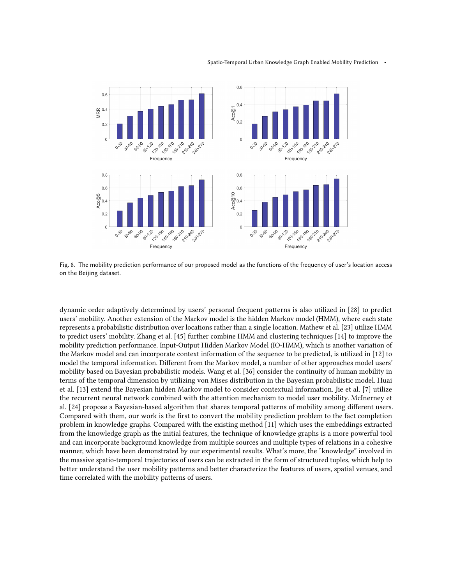<span id="page-18-0"></span>

Fig. 8. The mobility prediction performance of our proposed model as the functions of the frequency of user's location access on the Beijing dataset.

dynamic order adaptively determined by users' personal frequent patterns is also utilized in [\[28\]](#page-21-15) to predict users' mobility. Another extension of the Markov model is the hidden Markov model (HMM), where each state represents a probabilistic distribution over locations rather than a single location. Mathew et al. [\[23\]](#page-21-11) utilize HMM to predict users' mobility. Zhang et al. [\[45\]](#page-22-10) further combine HMM and clustering techniques [\[14\]](#page-21-14) to improve the mobility prediction performance. Input-Output Hidden Markov Model (IO-HMM), which is another variation of the Markov model and can incorporate context information of the sequence to be predicted, is utilized in [\[12\]](#page-21-16) to model the temporal information. Different from the Markov model, a number of other approaches model users' mobility based on Bayesian probabilistic models. Wang et al. [\[36\]](#page-22-12) consider the continuity of human mobility in terms of the temporal dimension by utilizing von Mises distribution in the Bayesian probabilistic model. Huai et al. [\[13\]](#page-21-17) extend the Bayesian hidden Markov model to consider contextual information. Jie et al. [\[7\]](#page-21-18) utilize the recurrent neural network combined with the attention mechanism to model user mobility. McInerney et al. [\[24\]](#page-21-19) propose a Bayesian-based algorithm that shares temporal patterns of mobility among different users. Compared with them, our work is the first to convert the mobility prediction problem to the fact completion problem in knowledge graphs. Compared with the existing method [\[11\]](#page-21-10) which uses the embeddings extracted from the knowledge graph as the initial features, the technique of knowledge graphs is a more powerful tool and can incorporate background knowledge from multiple sources and multiple types of relations in a cohesive manner, which have been demonstrated by our experimental results. What's more, the "knowledge" involved in the massive spatio-temporal trajectories of users can be extracted in the form of structured tuples, which help to better understand the user mobility patterns and better characterize the features of users, spatial venues, and time correlated with the mobility patterns of users.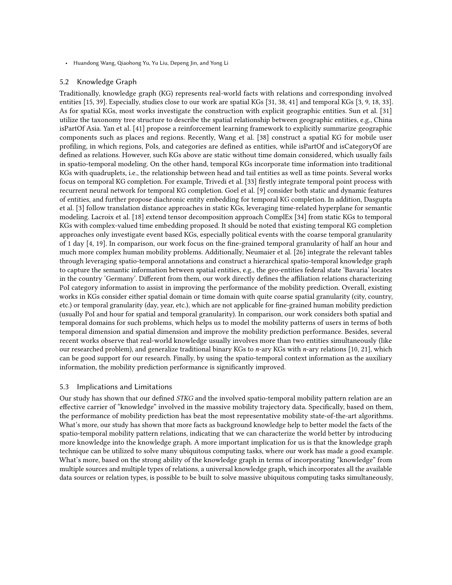### 5.2 Knowledge Graph

Traditionally, knowledge graph (KG) represents real-world facts with relations and corresponding involved entities [\[15,](#page-21-20) [39\]](#page-22-13). Especially, studies close to our work are spatial KGs [\[31,](#page-22-14) [38,](#page-22-4) [41\]](#page-22-15) and temporal KGs [\[3,](#page-20-3) [9,](#page-21-21) [18,](#page-21-6) [33\]](#page-22-16). As for spatial KGs, most works investigate the construction with explicit geographic entities. Sun et al. [\[31\]](#page-22-14) utilize the taxonomy tree structure to describe the spatial relationship between geographic entities, e.g., China isPartOf Asia. Yan et al. [\[41\]](#page-22-15) propose a reinforcement learning framework to explicitly summarize geographic components such as places and regions. Recently, Wang et al. [\[38\]](#page-22-4) construct a spatial KG for mobile user profiling, in which regions, PoIs, and categories are defined as entities, while isPartOf and isCategoryOf are defined as relations. However, such KGs above are static without time domain considered, which usually fails in spatio-temporal modeling. On the other hand, temporal KGs incorporate time information into traditional KGs with quadruplets, i.e., the relationship between head and tail entities as well as time points. Several works focus on temporal KG completion. For example, Trivedi et al. [\[33\]](#page-22-16) firstly integrate temporal point process with recurrent neural network for temporal KG completion. Goel et al. [\[9\]](#page-21-21) consider both static and dynamic features of entities, and further propose diachronic entity embedding for temporal KG completion. In addition, Dasgupta et al. [\[3\]](#page-20-3) follow translation distance approaches in static KGs, leveraging time-related hyperplane for semantic modeling. Lacroix et al. [\[18\]](#page-21-6) extend tensor decomposition approach ComplEx [\[34\]](#page-22-8) from static KGs to temporal KGs with complex-valued time embedding proposed. It should be noted that existing temporal KG completion approaches only investigate event based KGs, especially political events with the coarse temporal granularity of 1 day [\[4,](#page-20-4) [19\]](#page-21-22). In comparison, our work focus on the fine-grained temporal granularity of half an hour and much more complex human mobility problems. Additionally, Neumaier et al. [\[26\]](#page-21-23) integrate the relevant tables through leveraging spatio-temporal annotations and construct a hierarchical spatio-temporal knowledge graph to capture the semantic information between spatial entities, e.g., the geo-entities federal state 'Bavaria' locates in the country 'Germany'. Different from them, our work directly defines the affiliation relations characterizing PoI category information to assist in improving the performance of the mobility prediction. Overall, existing works in KGs consider either spatial domain or time domain with quite coarse spatial granularity (city, country, etc.) or temporal granularity (day, year, etc.), which are not applicable for fine-grained human mobility prediction (usually PoI and hour for spatial and temporal granularity). In comparison, our work considers both spatial and temporal domains for such problems, which helps us to model the mobility patterns of users in terms of both temporal dimension and spatial dimension and improve the mobility prediction performance. Besides, several recent works observe that real-world knowledge usually involves more than two entities simultaneously (like our researched problem), and generalize traditional binary KGs to n-ary KGs with n-ary relations [\[10,](#page-21-24) [21\]](#page-21-25), which can be good support for our research. Finally, by using the spatio-temporal context information as the auxiliary information, the mobility prediction performance is significantly improved.

## 5.3 Implications and Limitations

Our study has shown that our defined STKG and the involved spatio-temporal mobility pattern relation are an effective carrier of "knowledge" involved in the massive mobility trajectory data. Specifically, based on them, the performance of mobility prediction has beat the most representative mobility state-of-the-art algorithms. What's more, our study has shown that more facts as background knowledge help to better model the facts of the spatio-temporal mobility pattern relations, indicating that we can characterize the world better by introducing more knowledge into the knowledge graph. A more important implication for us is that the knowledge graph technique can be utilized to solve many ubiquitous computing tasks, where our work has made a good example. What's more, based on the strong ability of the knowledge graph in terms of incorporating "knowledge" from multiple sources and multiple types of relations, a universal knowledge graph, which incorporates all the available data sources or relation types, is possible to be built to solve massive ubiquitous computing tasks simultaneously,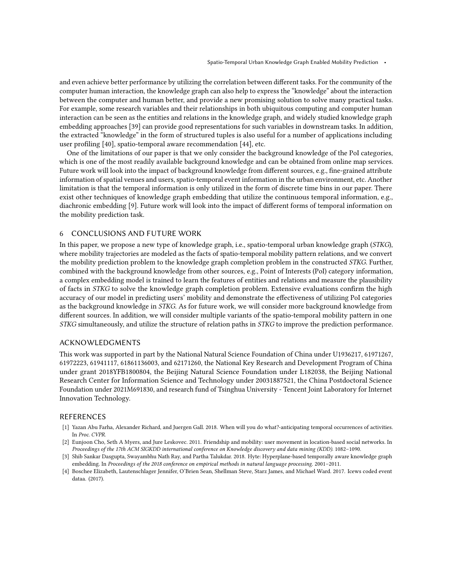and even achieve better performance by utilizing the correlation between different tasks. For the community of the computer human interaction, the knowledge graph can also help to express the "knowledge" about the interaction between the computer and human better, and provide a new promising solution to solve many practical tasks. For example, some research variables and their relationships in both ubiquitous computing and computer human interaction can be seen as the entities and relations in the knowledge graph, and widely studied knowledge graph embedding approaches [\[39\]](#page-22-13) can provide good representations for such variables in downstream tasks. In addition, the extracted "knowledge" in the form of structured tuples is also useful for a number of applications including user profiling [\[40\]](#page-22-5), spatio-temporal aware recommendation [\[44\]](#page-22-6), etc.

One of the limitations of our paper is that we only consider the background knowledge of the PoI categories, which is one of the most readily available background knowledge and can be obtained from online map services. Future work will look into the impact of background knowledge from different sources, e.g., fine-grained attribute information of spatial venues and users, spatio-temporal event information in the urban environment, etc. Another limitation is that the temporal information is only utilized in the form of discrete time bins in our paper. There exist other techniques of knowledge graph embedding that utilize the continuous temporal information, e.g., diachronic embedding [\[9\]](#page-21-21). Future work will look into the impact of different forms of temporal information on the mobility prediction task.

### <span id="page-20-0"></span>6 CONCLUSIONS AND FUTURE WORK

In this paper, we propose a new type of knowledge graph, i.e., spatio-temporal urban knowledge graph (STKG), where mobility trajectories are modeled as the facts of spatio-temporal mobility pattern relations, and we convert the mobility prediction problem to the knowledge graph completion problem in the constructed STKG. Further, combined with the background knowledge from other sources, e.g., Point of Interests (PoI) category information, a complex embedding model is trained to learn the features of entities and relations and measure the plausibility of facts in STKG to solve the knowledge graph completion problem. Extensive evaluations confirm the high accuracy of our model in predicting users' mobility and demonstrate the effectiveness of utilizing PoI categories as the background knowledge in STKG. As for future work, we will consider more background knowledge from different sources. In addition, we will consider multiple variants of the spatio-temporal mobility pattern in one STKG simultaneously, and utilize the structure of relation paths in STKG to improve the prediction performance.

## ACKNOWLEDGMENTS

This work was supported in part by the National Natural Science Foundation of China under U1936217, 61971267, 61972223, 61941117, 61861136003, and 62171260, the National Key Research and Development Program of China under grant 2018YFB1800804, the Beijing Natural Science Foundation under L182038, the Beijing National Research Center for Information Science and Technology under 20031887521, the China Postdoctoral Science Foundation under 2021M691830, and research fund of Tsinghua University - Tencent Joint Laboratory for Internet Innovation Technology.

## REFERENCES

- <span id="page-20-1"></span>[1] Yazan Abu Farha, Alexander Richard, and Juergen Gall. 2018. When will you do what?-anticipating temporal occurrences of activities. In Proc. CVPR.
- <span id="page-20-2"></span>[2] Eunjoon Cho, Seth A Myers, and Jure Leskovec. 2011. Friendship and mobility: user movement in location-based social networks. In Proceedings of the 17th ACM SIGKDD international conference on Knowledge discovery and data mining (KDD). 1082–1090.
- <span id="page-20-3"></span>[3] Shib Sankar Dasgupta, Swayambhu Nath Ray, and Partha Talukdar. 2018. Hyte: Hyperplane-based temporally aware knowledge graph embedding. In Proceedings of the 2018 conference on empirical methods in natural language processing. 2001–2011.
- <span id="page-20-4"></span>[4] Boschee Elizabeth, Lautenschlager Jennifer, O'Brien Sean, Shellman Steve, Starz James, and Michael Ward. 2017. Icews coded event dataa. (2017).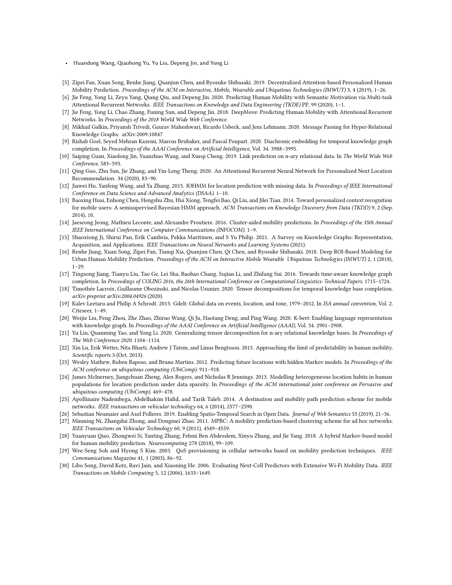- Huandong Wang, Qiaohong Yu, Yu Liu, Depeng Jin, and Yong Li
- <span id="page-21-9"></span>[5] Zipei Fan, Xuan Song, Renhe Jiang, Quanjun Chen, and Ryosuke Shibasaki. 2019. Decentralized Attention-based Personalized Human Mobility Prediction. Proceedings of the ACM on Interactive, Mobile, Wearable and Ubiquitous Technologies (IMWUT) 3, 4 (2019), 1–26.
- <span id="page-21-7"></span>[6] Jie Feng, Yong Li, Zeyu Yang, Qiang Qiu, and Depeng Jin. 2020. Predicting Human Mobility with Semantic Motivation via Multi-task Attentional Recurrent Networks. IEEE Transactions on Knowledge and Data Engineering (TKDE) PP, 99 (2020), 1–1.
- <span id="page-21-18"></span>[7] Jie Feng, Yong Li, Chao Zhang, Funing Sun, and Depeng Jin. 2018. DeepMove: Predicting Human Mobility with Attentional Recurrent Networks. In Proceedings of the 2018 World Wide Web Conference.
- <span id="page-21-4"></span>[8] Mikhail Galkin, Priyansh Trivedi, Gaurav Maheshwari, Ricardo Usbeck, and Jens Lehmann. 2020. Message Passing for Hyper-Relational Knowledge Graphs. arXiv[:2009.10847](https://arxiv.org/abs/2009.10847)
- <span id="page-21-21"></span>[9] Rishab Goel, Seyed Mehran Kazemi, Marcus Brubaker, and Pascal Poupart. 2020. Diachronic embedding for temporal knowledge graph completion. In Proceedings of the AAAI Conference on Artificial Intelligence, Vol. 34. 3988–3995.
- <span id="page-21-24"></span>[10] Saiping Guan, Xiaolong Jin, Yuanzhuo Wang, and Xueqi Cheng. 2019. Link prediction on n-ary relational data. In The World Wide Web Conference. 583–593.
- <span id="page-21-10"></span>[11] Qing Guo, Zhu Sun, Jie Zhang, and Yin-Leng Theng. 2020. An Attentional Recurrent Neural Network for Personalized Next Location Recommendation. 34 (2020), 83–90.
- <span id="page-21-16"></span>[12] Jiawei Hu, Yanfeng Wang, and Ya Zhang. 2015. IOHMM for location prediction with missing data. In Proceedings of IEEE International Conference on Data Science and Advanced Analytics (DSAA). 1–10.
- <span id="page-21-17"></span>[13] Baoxing Huai, Enhong Chen, Hengshu Zhu, Hui Xiong, Tengfei Bao, Qi Liu, and Jilei Tian. 2014. Toward personalized context recognition for mobile users: A semisupervised Bayesian HMM approach. ACM Transactions on Knowledge Discovery from Data (TKDD) 9, 2 (Sep. 2014), 10.
- <span id="page-21-14"></span>[14] Jaeseong Jeong, Mathieu Leconte, and Alexandre Proutiere. 2016. Cluster-aided mobility predictions. In Proceedings of the 35th Annual IEEE International Conference on Computer Communications (INFOCOM). 1–9.
- <span id="page-21-20"></span>[15] Shaoxiong Ji, Shirui Pan, Erik Cambria, Pekka Marttinen, and S Yu Philip. 2021. A Survey on Knowledge Graphs: Representation, Acquisition, and Applications. IEEE Transactions on Neural Networks and Learning Systems (2021).
- <span id="page-21-8"></span>[16] Renhe Jiang, Xuan Song, Zipei Fan, Tianqi Xia, Quanjun Chen, Qi Chen, and Ryosuke Shibasaki. 2018. Deep ROI-Based Modeling for Urban Human Mobility Prediction. Proceedings of the ACM on Interactive Mobile Wearable Ubiquitous Technologies (IMWUT) 2, 1 (2018), 1–29.
- <span id="page-21-5"></span>[17] Tingsong Jiang, Tianyu Liu, Tao Ge, Lei Sha, Baobao Chang, Sujian Li, and Zhifang Sui. 2016. Towards time-aware knowledge graph completion. In Proceedings of COLING 2016, the 26th International Conference on Computational Linguistics: Technical Papers. 1715–1724.
- <span id="page-21-6"></span>[18] Timothée Lacroix, Guillaume Obozinski, and Nicolas Usunier. 2020. Tensor decompositions for temporal knowledge base completion. arXiv preprint arXiv:2004.04926 (2020).
- <span id="page-21-22"></span>[19] Kalev Leetaru and Philip A Schrodt. 2013. Gdelt: Global data on events, location, and tone, 1979–2012. In ISA annual convention, Vol. 2. Citeseer, 1–49.
- <span id="page-21-3"></span>[20] Weijie Liu, Peng Zhou, Zhe Zhao, Zhiruo Wang, Qi Ju, Haotang Deng, and Ping Wang. 2020. K-bert: Enabling language representation with knowledge graph. In Proceedings of the AAAI Conference on Artificial Intelligence (AAAI), Vol. 34. 2901–2908.
- <span id="page-21-25"></span>[21] Yu Liu, Quanming Yao, and Yong Li. 2020. Generalizing tensor decomposition for n-ary relational knowledge bases. In Proceedings of The Web Conference 2020. 1104–1114.
- <span id="page-21-12"></span>[22] Xin Lu, Erik Wetter, Nita Bharti, Andrew J Tatem, and Linus Bengtsson. 2013. Approaching the limit of predictability in human mobility. Scientific reports 3 (Oct. 2013).
- <span id="page-21-11"></span>[23] Wesley Mathew, Ruben Raposo, and Bruno Martins. 2012. Predicting future locations with hidden Markov models. In Proceedings of the ACM conference on ubiquitous computing (UbiComp). 911–918.
- <span id="page-21-19"></span>[24] James McInerney, Jiangchuan Zheng, Alex Rogers, and Nicholas R Jennings. 2013. Modelling heterogeneous location habits in human populations for location prediction under data sparsity. In Proceedings of the ACM international joint conference on Pervasive and ubiquitous computing (UbiComp). 469–478.
- <span id="page-21-0"></span>[25] Apollinaire Nadembega, Abdelhakim Hafid, and Tarik Taleb. 2014. A destination and mobility path prediction scheme for mobile networks. IEEE transactions on vehicular technology 64, 6 (2014), 2577–2590.
- <span id="page-21-23"></span>[26] Sebastian Neumaier and Axel Polleres. 2019. Enabling Spatio-Temporal Search in Open Data. Journal of Web Semantics 55 (2019), 21–36.
- <span id="page-21-1"></span>[27] Minming Ni, Zhangdui Zhong, and Dongmei Zhao. 2011. MPBC: A mobility prediction-based clustering scheme for ad hoc networks. IEEE Transactions on Vehicular Technology 60, 9 (2011), 4549–4559.
- <span id="page-21-15"></span>[28] Yuanyuan Qiao, Zhongwei Si, Yanting Zhang, Fehmi Ben Abdesslem, Xinyu Zhang, and Jie Yang. 2018. A hybrid Markov-based model for human mobility prediction. Neurocomputing 278 (2018), 99–109.
- <span id="page-21-2"></span>[29] Wee-Seng Soh and Hyong S Kim. 2003. QoS provisioning in cellular networks based on mobility prediction techniques. IEEE Communications Magazine 41, 1 (2003), 86–92.
- <span id="page-21-13"></span>[30] Libo Song, David Kotz, Ravi Jain, and Xiaoning He. 2006. Evaluating Next-Cell Predictors with Extensive Wi-Fi Mobility Data. IEEE Transactions on Mobile Computing 5, 12 (2006), 1633–1649.